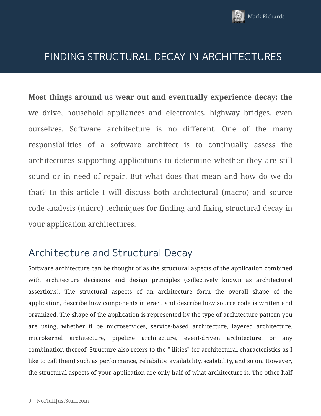

### FINDING STRUCTURAL DECAY IN ARCHITECTURES

**Most things around us wear out and eventually experience decay; the** we drive, household appliances and electronics, highway bridges, even ourselves. Software architecture is no different. One of the many responsibilities of a software architect is to continually assess the architectures supporting applications to determine whether they are still sound or in need of repair. But what does that mean and how do we do that? In this article I will discuss both architectural (macro) and source code analysis (micro) techniques for finding and fixing structural decay in your application architectures.

## Architecture and Structural Decay

Software architecture can be thought of as the structural aspects of the application combined with architecture decisions and design principles (collectively known as architectural assertions). The structural aspects of an architecture form the overall shape of the application, describe how components interact, and describe how source code is written and organized. The shape of the application is represented by the type of architecture pattern you are using, whether it be microservices, service-based architecture, layered architecture, microkernel architecture, pipeline architecture, event-driven architecture, or any combination thereof. Structure also refers to the "-ilities" (or architectural characteristics as I like to call them) such as performance, reliability, availability, scalability, and so on. However, the structural aspects of your application are only half of what architecture is. The other half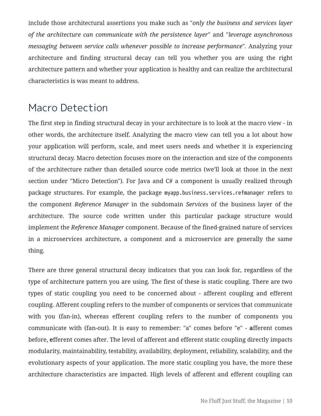include those architectural assertions you make such as "*only the business and services layer of the architecture can communicate with the persistence layer*" and "*leverage asynchronous messaging between service calls whenever possible to increase performance*". Analyzing your architecture and finding structural decay can tell you whether you are using the right architecture pattern and whether your application is healthy and can realize the architectural characteristics is was meant to address.

### Macro Detection

The first step in finding structural decay in your architecture is to look at the macro view - in other words, the architecture itself. Analyzing the macro view can tell you a lot about how your application will perform, scale, and meet users needs and whether it is experiencing structural decay. Macro detection focuses more on the interaction and size of the components of the architecture rather than detailed source code metrics (we'll look at those in the next section under "Micro Detection"). For Java and C# a component is usually realized through package structures. For example, the package myapp.business.services.refmanager refers to the component *Reference Manager* in the subdomain *Services* of the business layer of the architecture. The source code written under this particular package structure would implement the *Reference Manager* component. Because of the fined-grained nature of services in a microservices architecture, a component and a microservice are generally the same thing.

There are three general structural decay indicators that you can look for, regardless of the type of architecture pattern you are using. The first of these is static coupling. There are two types of static coupling you need to be concerned about - afferent coupling and efferent coupling. Afferent coupling refers to the number of components or services that communicate with you (fan-in), whereas efferent coupling refers to the number of components you communicate with (fan-out). It is easy to remember: "a" comes before "e" - **a**fferent comes before, **e**fferent comes after. The level of afferent and efferent static coupling directly impacts modularity, maintainability, testability, availability, deployment, reliability, scalability, and the evolutionary aspects of your application. The more static coupling you have, the more these architecture characteristics are impacted. High levels of afferent and efferent coupling can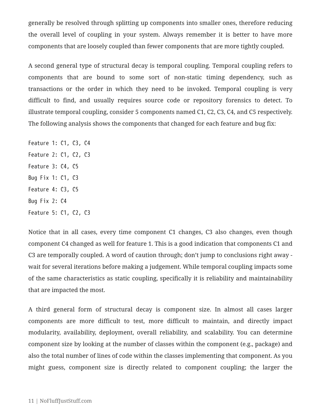generally be resolved through splitting up components into smaller ones, therefore reducing the overall level of coupling in your system. Always remember it is better to have more components that are loosely coupled than fewer components that are more tightly coupled.

A second general type of structural decay is temporal coupling. Temporal coupling refers to components that are bound to some sort of non-static timing dependency, such as transactions or the order in which they need to be invoked. Temporal coupling is very difficult to find, and usually requires source code or repository forensics to detect. To illustrate temporal coupling, consider 5 components named C1, C2, C3, C4, and C5 respectively. The following analysis shows the components that changed for each feature and bug fix:

Feature 1: C1, C3, C4 Feature 2: C1, C2, C3 Feature 3: C4, C5 Bug Fix 1: C1, C3 Feature 4: C3, C5 Bug Fix 2: C4 Feature 5: C1, C2, C3

Notice that in all cases, every time component C1 changes, C3 also changes, even though component C4 changed as well for feature 1. This is a good indication that components C1 and C3 are temporally coupled. A word of caution through; don't jump to conclusions right away wait for several iterations before making a judgement. While temporal coupling impacts some of the same characteristics as static coupling, specifically it is reliability and maintainability that are impacted the most.

A third general form of structural decay is component size. In almost all cases larger components are more difficult to test, more difficult to maintain, and directly impact modularity, availability, deployment, overall reliability, and scalability. You can determine component size by looking at the number of classes within the component (e.g., package) and also the total number of lines of code within the classes implementing that component. As you might guess, component size is directly related to component coupling; the larger the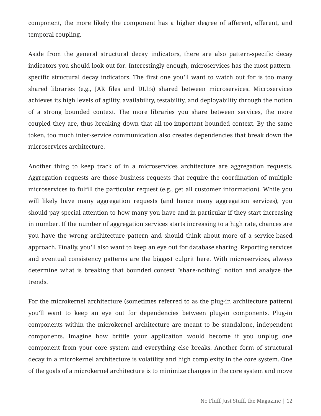component, the more likely the component has a higher degree of afferent, efferent, and temporal coupling.

Aside from the general structural decay indicators, there are also pattern-specific decay indicators you should look out for. Interestingly enough, microservices has the most patternspecific structural decay indicators. The first one you'll want to watch out for is too many shared libraries (e.g., JAR files and DLL's) shared between microservices. Microservices achieves its high levels of agility, availability, testability, and deployability through the notion of a strong bounded context. The more libraries you share between services, the more coupled they are, thus breaking down that all-too-important bounded context. By the same token, too much inter-service communication also creates dependencies that break down the microservices architecture.

Another thing to keep track of in a microservices architecture are aggregation requests. Aggregation requests are those business requests that require the coordination of multiple microservices to fulfill the particular request (e.g., get all customer information). While you will likely have many aggregation requests (and hence many aggregation services), you should pay special attention to how many you have and in particular if they start increasing in number. If the number of aggregation services starts increasing to a high rate, chances are you have the wrong architecture pattern and should think about more of a service-based approach. Finally, you'll also want to keep an eye out for database sharing. Reporting services and eventual consistency patterns are the biggest culprit here. With microservices, always determine what is breaking that bounded context "share-nothing" notion and analyze the trends.

For the microkernel architecture (sometimes referred to as the plug-in architecture pattern) you'll want to keep an eye out for dependencies between plug-in components. Plug-in components within the microkernel architecture are meant to be standalone, independent components. Imagine how brittle your application would become if you unplug one component from your core system and everything else breaks. Another form of structural decay in a microkernel architecture is volatility and high complexity in the core system. One of the goals of a microkernel architecture is to minimize changes in the core system and move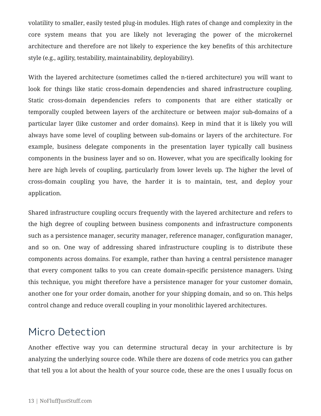volatility to smaller, easily tested plug-in modules. High rates of change and complexity in the core system means that you are likely not leveraging the power of the microkernel architecture and therefore are not likely to experience the key benefits of this architecture style (e.g., agility, testability, maintainability, deployability).

With the layered architecture (sometimes called the n-tiered architecture) you will want to look for things like static cross-domain dependencies and shared infrastructure coupling. Static cross-domain dependencies refers to components that are either statically or temporally coupled between layers of the architecture or between major sub-domains of a particular layer (like customer and order domains). Keep in mind that it is likely you will always have some level of coupling between sub-domains or layers of the architecture. For example, business delegate components in the presentation layer typically call business components in the business layer and so on. However, what you are specifically looking for here are high levels of coupling, particularly from lower levels up. The higher the level of cross-domain coupling you have, the harder it is to maintain, test, and deploy your application.

Shared infrastructure coupling occurs frequently with the layered architecture and refers to the high degree of coupling between business components and infrastructure components such as a persistence manager, security manager, reference manager, configuration manager, and so on. One way of addressing shared infrastructure coupling is to distribute these components across domains. For example, rather than having a central persistence manager that every component talks to you can create domain-specific persistence managers. Using this technique, you might therefore have a persistence manager for your customer domain, another one for your order domain, another for your shipping domain, and so on. This helps control change and reduce overall coupling in your monolithic layered architectures.

#### Micro Detection

Another effective way you can determine structural decay in your architecture is by analyzing the underlying source code. While there are dozens of code metrics you can gather that tell you a lot about the health of your source code, these are the ones I usually focus on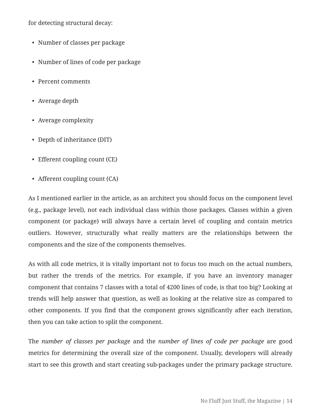for detecting structural decay:

- Number of classes per package
- Number of lines of code per package
- Percent comments
- Average depth
- Average complexity
- Depth of inheritance (DIT)
- Efferent coupling count (CE)
- Afferent coupling count (CA)

As I mentioned earlier in the article, as an architect you should focus on the component level (e.g., package level), not each individual class within those packages. Classes within a given component (or package) will always have a certain level of coupling and contain metrics outliers. However, structurally what really matters are the relationships between the components and the size of the components themselves.

As with all code metrics, it is vitally important not to focus too much on the actual numbers, but rather the trends of the metrics. For example, if you have an inventory manager component that contains 7 classes with a total of 4200 lines of code, is that too big? Looking at trends will help answer that question, as well as looking at the relative size as compared to other components. If you find that the component grows significantly after each iteration, then you can take action to split the component.

The *number of classes per package* and the *number of lines of code per package* are good metrics for determining the overall size of the component. Usually, developers will already start to see this growth and start creating sub-packages under the primary package structure.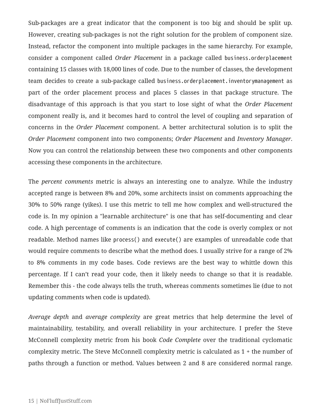Sub-packages are a great indicator that the component is too big and should be split up. However, creating sub-packages is not the right solution for the problem of component size. Instead, refactor the component into multiple packages in the same hierarchy. For example, consider a component called *Order Placement* in a package called business.orderplacement containing 15 classes with 18,000 lines of code. Due to the number of classes, the development team decides to create a sub-package called business.orderplacement.inventorymanagement as part of the order placement process and places 5 classes in that package structure. The disadvantage of this approach is that you start to lose sight of what the *Order Placement* component really is, and it becomes hard to control the level of coupling and separation of concerns in the *Order Placement* component. A better architectural solution is to split the *Order Placement* component into two components; *Order Placement* and *Inventory Manager*. Now you can control the relationship between these two components and other components accessing these components in the architecture.

The *percent comments* metric is always an interesting one to analyze. While the industry accepted range is between 8% and 20%, some architects insist on comments approaching the 30% to 50% range (yikes). I use this metric to tell me how complex and well-structured the code is. In my opinion a "learnable architecture" is one that has self-documenting and clear code. A high percentage of comments is an indication that the code is overly complex or not readable. Method names like process() and execute() are examples of unreadable code that would require comments to describe what the method does. I usually strive for a range of 2% to 8% comments in my code bases. Code reviews are the best way to whittle down this percentage. If I can't read your code, then it likely needs to change so that it is readable. Remember this - the code always tells the truth, whereas comments sometimes lie (due to not updating comments when code is updated).

*Average depth* and *average complexity* are great metrics that help determine the level of maintainability, testability, and overall reliability in your architecture. I prefer the Steve McConnell complexity metric from his book *Code Complete* over the traditional cyclomatic complexity metric. The Steve McConnell complexity metric is calculated as 1 + the number of paths through a function or method. Values between 2 and 8 are considered normal range.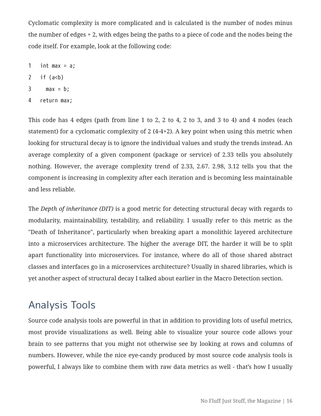Cyclomatic complexity is more complicated and is calculated is the number of nodes minus the number of edges + 2, with edges being the paths to a piece of code and the nodes being the code itself. For example, look at the following code:

- 1 int max =  $a$ ;
- 2 if  $(a < b)$
- 3 max =  $b$ ;
- 4 return max;

This code has 4 edges (path from line 1 to 2, 2 to 4, 2 to 3, and 3 to 4) and 4 nodes (each statement) for a cyclomatic complexity of 2 (4-4+2). A key point when using this metric when looking for structural decay is to ignore the individual values and study the trends instead. An average complexity of a given component (package or service) of 2.33 tells you absolutely nothing. However, the average complexity trend of 2.33, 2.67. 2.98, 3.12 tells you that the component is increasing in complexity after each iteration and is becoming less maintainable and less reliable.

The *Depth of inheritance (DIT)* is a good metric for detecting structural decay with regards to modularity, maintainability, testability, and reliability. I usually refer to this metric as the "Death of Inheritance", particularly when breaking apart a monolithic layered architecture into a microservices architecture. The higher the average DIT, the harder it will be to split apart functionality into microservices. For instance, where do all of those shared abstract classes and interfaces go in a microservices architecture? Usually in shared libraries, which is yet another aspect of structural decay I talked about earlier in the Macro Detection section.

#### Analysis Tools

Source code analysis tools are powerful in that in addition to providing lots of useful metrics, most provide visualizations as well. Being able to visualize your source code allows your brain to see patterns that you might not otherwise see by looking at rows and columns of numbers. However, while the nice eye-candy produced by most source code analysis tools is powerful, I always like to combine them with raw data metrics as well - that's how I usually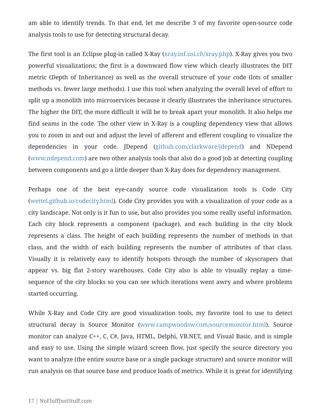am able to identify trends. To that end, let me describe 3 of my favorite open-source code analysis tools to use for detecting structural decay.

The first tool is an Eclipse plug-in called X-Ray ([xray.inf.usi.ch/xray.php\)](http://xray.inf.usi.ch/xray.php). X-Ray gives you two powerful visualizations; the first is a downward flow view which clearly illustrates the DIT metric (Depth of Inheritance) as well as the overall structure of your code (lots of smaller methods vs. fewer large methods). I use this tool when analyzing the overall level of effort to split up a monolith into microservices because it clearly illustrates the inheritance structures. The higher the DIT, the more difficult it will be to break apart your monolith. It also helps me find seams in the code. The other view in X-Ray is a coupling dependency view that allows you to zoom in and out and adjust the level of afferent and efferent coupling to visualize the dependencies in your code. JDepend ([github.com/clarkware/jdepend](https://github.com/clarkware/jdepend)) and NDepend ([www.ndepend.com\)](http://www.ndepend.com) are two other analysis tools that also do a good job at detecting coupling between components and go a little deeper than X-Ray does for dependency management.

Perhaps one of the best eye-candy source code visualization tools is Code City ([wettel.github.io/codecity.html](http://wettel.github.io/codecity.html)). Code City provides you with a visualization of your code as a city landscape. Not only is it fun to use, but also provides you some really useful information. Each city block represents a component (package), and each building in the city block represents a class. The height of each building represents the number of methods in that class, and the width of each building represents the number of attributes of that class. Visually it is relatively easy to identify hotspots through the number of skyscrapers that appear vs. big flat 2-story warehouses. Code City also is able to visually replay a timesequence of the city blocks so you can see which iterations went awry and where problems started occurring.

While X-Ray and Code City are good visualization tools, my favorite tool to use to detect structural decay is Source Monitor [\(www.campwoodsw.com/sourcemonitor.html](http://www.campwoodsw.com/sourcemonitor.html)). Source monitor can analyze C++, C, C#, Java, HTML, Delphi, VB.NET, and Visual Basic, and is simple and easy to use. Using the simple wizard screen flow, just specify the source directory you want to analyze (the entire source base or a single package structure) and source monitor will run analysis on that source base and produce loads of metrics. While it is great for identifying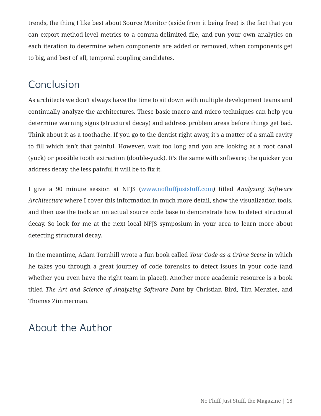trends, the thing I like best about Source Monitor (aside from it being free) is the fact that you can export method-level metrics to a comma-delimited file, and run your own analytics on each iteration to determine when components are added or removed, when components get to big, and best of all, temporal coupling candidates.

# Conclusion

As architects we don't always have the time to sit down with multiple development teams and continually analyze the architectures. These basic macro and micro techniques can help you determine warning signs (structural decay) and address problem areas before things get bad. Think about it as a toothache. If you go to the dentist right away, it's a matter of a small cavity to fill which isn't that painful. However, wait too long and you are looking at a root canal (yuck) or possible tooth extraction (double-yuck). It's the same with software; the quicker you address decay, the less painful it will be to fix it.

I give a 90 minute session at NFJS [\(www.nofluffjuststuff.com\)](http://www.nofluffjuststuff.com) titled *Analyzing Software Architecture* where I cover this information in much more detail, show the visualization tools, and then use the tools an on actual source code base to demonstrate how to detect structural decay. So look for me at the next local NFJS symposium in your area to learn more about detecting structural decay.

In the meantime, Adam Tornhill wrote a fun book called *Your Code as a Crime Scene* in which he takes you through a great journey of code forensics to detect issues in your code (and whether you even have the right team in place!). Another more academic resource is a book titled *The Art and Science of Analyzing Software Data* by Christian Bird, Tim Menzies, and Thomas Zimmerman.

## About the Author